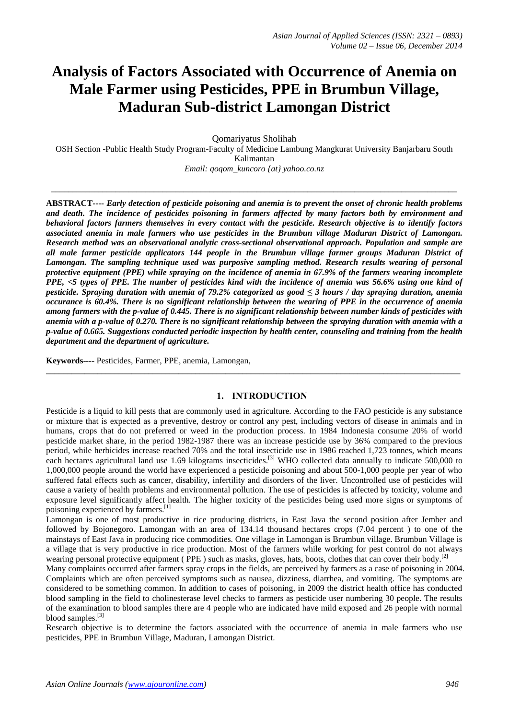# **Analysis of Factors Associated with Occurrence of Anemia on Male Farmer using Pesticides, PPE in Brumbun Village, Maduran Sub-district Lamongan District**

Qomariyatus Sholihah

OSH Section -Public Health Study Program-Faculty of Medicine Lambung Mangkurat University Banjarbaru South Kalimantan *Email: qoqom\_kuncoro {at} yahoo.co.nz*

\_\_\_\_\_\_\_\_\_\_\_\_\_\_\_\_\_\_\_\_\_\_\_\_\_\_\_\_\_\_\_\_\_\_\_\_\_\_\_\_\_\_\_\_\_\_\_\_\_\_\_\_\_\_\_\_\_\_\_\_\_\_\_\_\_\_\_\_\_\_\_\_\_\_\_\_\_\_\_\_\_\_\_\_\_\_\_\_\_\_\_\_\_\_\_

**ABSTRACT----** *Early detection of pesticide poisoning and anemia is to prevent the onset of chronic health problems and death. The incidence of pesticides poisoning in farmers affected by many factors both by environment and behavioral factors farmers themselves in every contact with the pesticide. Research objective is to identify factors associated anemia in male farmers who use pesticides in the Brumbun village Maduran District of Lamongan. Research method was an observational analytic cross-sectional observational approach. Population and sample are all male farmer pesticide applicators 144 people in the Brumbun village farmer groups Maduran District of Lamongan. The sampling technique used was purposive sampling method. Research results wearing of personal protective equipment (PPE) while spraying on the incidence of anemia in 67.9% of the farmers wearing incomplete PPE, <5 types of PPE. The number of pesticides kind with the incidence of anemia was 56.6% using one kind of pesticide. Spraying duration with anemia of 79.2% categorized as good ≤ 3 hours / day spraying duration, anemia occurance is 60.4%. There is no significant relationship between the wearing of PPE in the occurrence of anemia among farmers with the p-value of 0.445. There is no significant relationship between number kinds of pesticides with anemia with a p-value of 0.270. There is no significant relationship between the spraying duration with anemia with a p-value of 0.665. Suggestions conducted periodic inspection by health center, counseling and training from the health department and the department of agriculture.*

**Keywords----** Pesticides, Farmer, PPE, anemia, Lamongan,

## **1. INTRODUCTION**

\_\_\_\_\_\_\_\_\_\_\_\_\_\_\_\_\_\_\_\_\_\_\_\_\_\_\_\_\_\_\_\_\_\_\_\_\_\_\_\_\_\_\_\_\_\_\_\_\_\_\_\_\_\_\_\_\_\_\_\_\_\_\_\_\_\_\_\_\_\_\_\_\_\_\_\_\_\_\_\_\_\_\_\_\_\_\_\_\_\_\_\_\_\_\_\_\_

Pesticide is a liquid to kill pests that are commonly used in agriculture. According to the FAO pesticide is any substance or mixture that is expected as a preventive, destroy or control any pest, including vectors of disease in animals and in humans, crops that do not preferred or weed in the production process. In 1984 Indonesia consume 20% of world pesticide market share, in the period 1982-1987 there was an increase pesticide use by 36% compared to the previous period, while herbicides increase reached 70% and the total insecticide use in 1986 reached 1,723 tonnes, which means each hectares agricultural land use 1.69 kilograms insecticides.<sup>[3]</sup> WHO collected data annually to indicate 500,000 to 1,000,000 people around the world have experienced a pesticide poisoning and about 500-1,000 people per year of who suffered fatal effects such as cancer, disability, infertility and disorders of the liver. Uncontrolled use of pesticides will cause a variety of health problems and environmental pollution. The use of pesticides is affected by toxicity, volume and exposure level significantly affect health. The higher toxicity of the pesticides being used more signs or symptoms of poisoning experienced by farmers.<sup>[1]</sup>

Lamongan is one of most productive in rice producing districts, in East Java the second position after Jember and followed by Bojonegoro. Lamongan with an area of 134.14 thousand hectares crops (7.04 percent ) to one of the mainstays of East Java in producing rice commodities. One village in Lamongan is Brumbun village. Brumbun Village is a village that is very productive in rice production. Most of the farmers while working for pest control do not always wearing personal protective equipment ( PPE) such as masks, gloves, hats, boots, clothes that can cover their body.<sup>[2]</sup>

Many complaints occurred after farmers spray crops in the fields, are perceived by farmers as a case of poisoning in 2004. Complaints which are often perceived symptoms such as nausea, dizziness, diarrhea, and vomiting. The symptoms are considered to be something common. In addition to cases of poisoning, in 2009 the district health office has conducted blood sampling in the field to cholinesterase level checks to farmers as pesticide user numbering 30 people. The results of the examination to blood samples there are 4 people who are indicated have mild exposed and 26 people with normal blood samples.<sup>[3]</sup>

Research objective is to determine the factors associated with the occurrence of anemia in male farmers who use pesticides, PPE in Brumbun Village, Maduran, Lamongan District.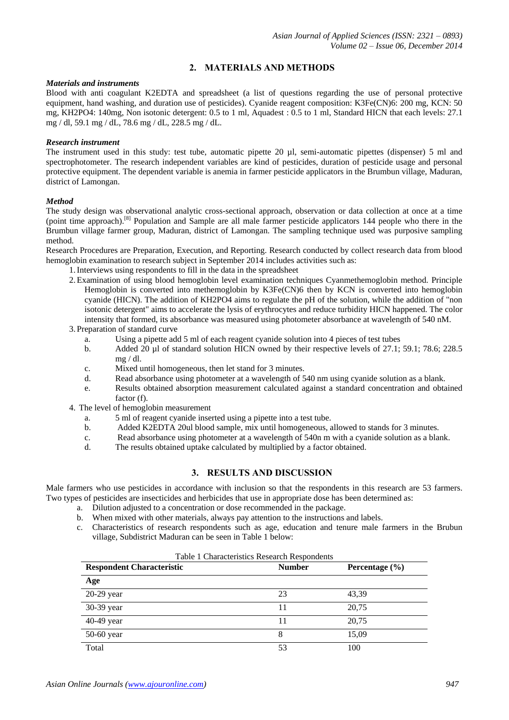# **2. MATERIALS AND METHODS**

### *Materials and instruments*

Blood with anti coagulant K2EDTA and spreadsheet (a list of questions regarding the use of personal protective equipment, hand washing, and duration use of pesticides). Cyanide reagent composition: K3Fe(CN)6: 200 mg, KCN: 50 mg, KH2PO4: 140mg, Non isotonic detergent: 0.5 to 1 ml, Aquadest : 0.5 to 1 ml, Standard HICN that each levels: 27.1 mg / dl, 59.1 mg / dL, 78.6 mg / dL, 228.5 mg / dL.

#### *Research instrument*

The instrument used in this study: test tube, automatic pipette 20 µl, semi-automatic pipettes (dispenser) 5 ml and spectrophotometer. The research independent variables are kind of pesticides, duration of pesticide usage and personal protective equipment. The dependent variable is anemia in farmer pesticide applicators in the Brumbun village, Maduran, district of Lamongan.

#### *Method*

The study design was observational analytic cross-sectional approach, observation or data collection at once at a time (point time approach).[8] Population and Sample are all male farmer pesticide applicators 144 people who there in the Brumbun village farmer group, Maduran, district of Lamongan. The sampling technique used was purposive sampling method.

Research Procedures are Preparation, Execution, and Reporting. Research conducted by collect research data from blood hemoglobin examination to research subject in September 2014 includes activities such as:

- 1.Interviews using respondents to fill in the data in the spreadsheet
- 2.Examination of using blood hemoglobin level examination techniques Cyanmethemoglobin method. Principle Hemoglobin is converted into methemoglobin by K3Fe(CN)6 then by KCN is converted into hemoglobin cyanide (HICN). The addition of KH2PO4 aims to regulate the pH of the solution, while the addition of "non isotonic detergent" aims to accelerate the lysis of erythrocytes and reduce turbidity HICN happened. The color intensity that formed, its absorbance was measured using photometer absorbance at wavelength of 540 nM.
- 3. Preparation of standard curve
	- a. Using a pipette add 5 ml of each reagent cyanide solution into 4 pieces of test tubes
	- b. Added 20 µl of standard solution HICN owned by their respective levels of 27.1; 59.1; 78.6; 228.5 mg / dl.
	- c. Mixed until homogeneous, then let stand for 3 minutes.
	- d. Read absorbance using photometer at a wavelength of 540 nm using cyanide solution as a blank.
	- e. Results obtained absorption measurement calculated against a standard concentration and obtained factor (f).
- 4. The level of hemoglobin measurement
	- a. 5 ml of reagent cyanide inserted using a pipette into a test tube.
	- b. Added K2EDTA 20ul blood sample, mix until homogeneous, allowed to stands for 3 minutes.
	- c. Read absorbance using photometer at a wavelength of 540n m with a cyanide solution as a blank.
	- d. The results obtained uptake calculated by multiplied by a factor obtained.

# **3. RESULTS AND DISCUSSION**

Male farmers who use pesticides in accordance with inclusion so that the respondents in this research are 53 farmers. Two types of pesticides are insecticides and herbicides that use in appropriate dose has been determined as:

- a. Dilution adjusted to a concentration or dose recommended in the package.
- b. When mixed with other materials, always pay attention to the instructions and labels.
- c. Characteristics of research respondents such as age, education and tenure male farmers in the Brubun village, Subdistrict Maduran can be seen in Table 1 below:

| Table 1 Characteristics Research Respondents |               |                    |  |  |  |  |  |
|----------------------------------------------|---------------|--------------------|--|--|--|--|--|
| <b>Respondent Characteristic</b>             | <b>Number</b> | Percentage $(\% )$ |  |  |  |  |  |
| Age                                          |               |                    |  |  |  |  |  |
| 20-29 year                                   | 23            | 43.39              |  |  |  |  |  |
| 30-39 year                                   | 11            | 20,75              |  |  |  |  |  |
| 40-49 year                                   | 11            | 20.75              |  |  |  |  |  |
| 50-60 year                                   | 8             | 15,09              |  |  |  |  |  |
| Total                                        | 53            | 100                |  |  |  |  |  |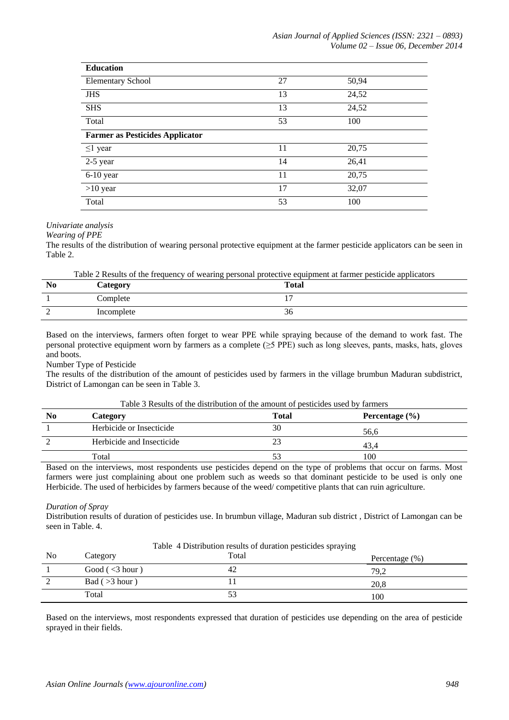| <b>Education</b>                       |    |       |  |  |  |  |
|----------------------------------------|----|-------|--|--|--|--|
| <b>Elementary School</b>               | 27 | 50,94 |  |  |  |  |
| <b>JHS</b>                             | 13 | 24,52 |  |  |  |  |
| <b>SHS</b>                             | 13 | 24,52 |  |  |  |  |
| Total                                  | 53 | 100   |  |  |  |  |
| <b>Farmer as Pesticides Applicator</b> |    |       |  |  |  |  |
| $\leq$ 1 year                          | 11 | 20,75 |  |  |  |  |
| 2-5 year                               | 14 | 26,41 |  |  |  |  |
| $6-10$ year                            | 11 | 20,75 |  |  |  |  |
| $>10$ year                             | 17 | 32,07 |  |  |  |  |
| Total                                  | 53 | 100   |  |  |  |  |

*Univariate analysis* 

*Wearing of PPE*

The results of the distribution of wearing personal protective equipment at the farmer pesticide applicators can be seen in Table 2.

Table 2 Results of the frequency of wearing personal protective equipment at farmer pesticide applicators

| N <sub>0</sub> | Category   | <b>Total</b> |
|----------------|------------|--------------|
|                | Complete   |              |
| $\sim$<br>∼    | Incomplete | 30           |

Based on the interviews, farmers often forget to wear PPE while spraying because of the demand to work fast. The personal protective equipment worn by farmers as a complete (≥5 PPE) such as long sleeves, pants, masks, hats, gloves and boots.

Number Type of Pesticide

The results of the distribution of the amount of pesticides used by farmers in the village brumbun Maduran subdistrict, District of Lamongan can be seen in Table 3.

| Table 3 Results of the distribution of the amount of pesticides used by farmers |  |  |  |
|---------------------------------------------------------------------------------|--|--|--|
|---------------------------------------------------------------------------------|--|--|--|

| N <sub>0</sub> | Category                  | <b>Total</b> | Percentage $(\% )$ |
|----------------|---------------------------|--------------|--------------------|
|                | Herbicide or Insecticide  | 30           | 56,6               |
|                | Herbicide and Insecticide |              | 43.4               |
|                | Total                     |              | 100                |

Based on the interviews, most respondents use pesticides depend on the type of problems that occur on farms. Most farmers were just complaining about one problem such as weeds so that dominant pesticide to be used is only one Herbicide. The used of herbicides by farmers because of the weed/ competitive plants that can ruin agriculture.

## *Duration of Spray*

Distribution results of duration of pesticides use. In brumbun village, Maduran sub district , District of Lamongan can be seen in Table. 4.

Table 4 Distribution results of duration pesticides spraying

| N <sub>o</sub> | Category             | Total | Percentage $(\% )$ |
|----------------|----------------------|-------|--------------------|
|                | Good $(\leq 3$ hour) | 42    | 79.2               |
| $\sim$         | Bad (>3 hour)        |       | 20,8               |
|                | Total                | ັບ    | 100                |

Based on the interviews, most respondents expressed that duration of pesticides use depending on the area of pesticide sprayed in their fields.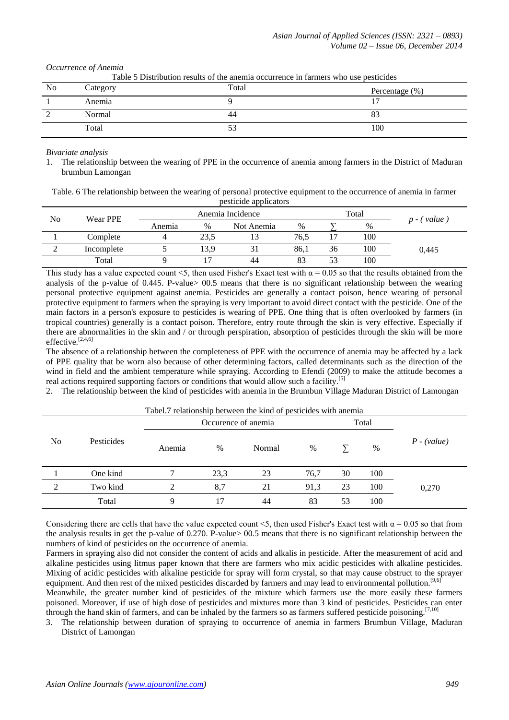*Occurrence of Anemia*

Table 5 Distribution results of the anemia occurrence in farmers who use pesticides

| No | Category | Total | Percentage $(\%)$ |
|----|----------|-------|-------------------|
|    | Anemia   |       |                   |
|    | Normal   | 44    | 83                |
|    | Total    | ັບ    | 100               |

*Bivariate analysis*

1. The relationship between the wearing of PPE in the occurrence of anemia among farmers in the District of Maduran brumbun Lamongan

Table. 6 The relationship between the wearing of personal protective equipment to the occurrence of anemia in farmer pesticide applicators

| No | Wear PPE   | Anemia Incidence<br>Total |      |                |      |    |     |                  |
|----|------------|---------------------------|------|----------------|------|----|-----|------------------|
|    |            | Anemia                    | $\%$ | Not Anemia     | %    |    | %   | value<br>$n - ($ |
|    | Complete   |                           | 23,5 | 1 <sub>2</sub> | 76.5 |    | 100 |                  |
|    | Incomplete |                           | 13.9 |                | 86,1 | 36 | 100 | 0,445            |
|    | Total      |                           |      | 44             | 83   | 53 | 100 |                  |

This study has a value expected count <5, then used Fisher's Exact test with  $\alpha$  = 0.05 so that the results obtained from the analysis of the p-value of 0.445. P-value $> 00.5$  means that there is no significant relationship between the wearing personal protective equipment against anemia. Pesticides are generally a contact poison, hence wearing of personal protective equipment to farmers when the spraying is very important to avoid direct contact with the pesticide. One of the main factors in a person's exposure to pesticides is wearing of PPE. One thing that is often overlooked by farmers (in tropical countries) generally is a contact poison. Therefore, entry route through the skin is very effective. Especially if there are abnormalities in the skin and / or through perspiration, absorption of pesticides through the skin will be more effective.<sup>[2,4,6]</sup>

The absence of a relationship between the completeness of PPE with the occurrence of anemia may be affected by a lack of PPE quality that be worn also because of other determining factors, called determinants such as the direction of the wind in field and the ambient temperature while spraying. According to Efendi (2009) to make the attitude becomes a real actions required supporting factors or conditions that would allow such a facility.<sup>[5]</sup>

2. The relationship between the kind of pesticides with anemia in the Brumbun Village Maduran District of Lamongan

|                |            |        | Occurence of anemia |        | Total |    |      |               |
|----------------|------------|--------|---------------------|--------|-------|----|------|---------------|
| N <sub>0</sub> | Pesticides | Anemia | $\%$                | Normal | %     |    | $\%$ | $P - (value)$ |
|                | One kind   |        | 23,3                | 23     | 76,7  | 30 | 100  |               |
| 2              | Two kind   | ↑      | 8,7                 | 21     | 91,3  | 23 | 100  | 0,270         |
|                | Total      | 9      | 17                  | 44     | 83    | 53 | 100  |               |

Tabel.7 relationship between the kind of pesticides with anemia

Considering there are cells that have the value expected count <5, then used Fisher's Exact test with  $\alpha$  = 0.05 so that from the analysis results in get the p-value of 0.270. P-value> 00.5 means that there is no significant relationship between the numbers of kind of pesticides on the occurrence of anemia.

Farmers in spraying also did not consider the content of acids and alkalis in pesticide. After the measurement of acid and alkaline pesticides using litmus paper known that there are farmers who mix acidic pesticides with alkaline pesticides. Mixing of acidic pesticides with alkaline pesticide for spray will form crystal, so that may cause obstruct to the sprayer equipment. And then rest of the mixed pesticides discarded by farmers and may lead to environmental pollution.<sup>[9,6]</sup>

Meanwhile, the greater number kind of pesticides of the mixture which farmers use the more easily these farmers poisoned. Moreover, if use of high dose of pesticides and mixtures more than 3 kind of pesticides. Pesticides can enter through the hand skin of farmers, and can be inhaled by the farmers so as farmers suffered pesticide poisoning.<sup>[7,10]</sup>

3. The relationship between duration of spraying to occurrence of anemia in farmers Brumbun Village, Maduran District of Lamongan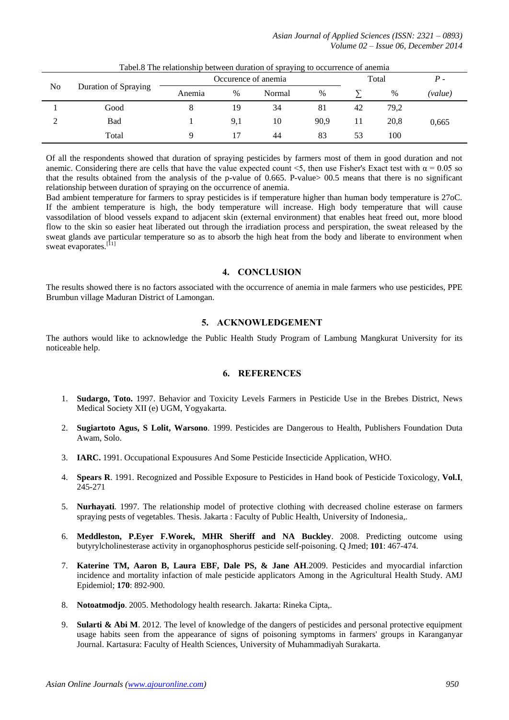*Asian Journal of Applied Sciences (ISSN: 2321 – 0893) Volume 02 – Issue 06, December 2014*

|    | Tabello The relationship between utiliation of spraying to occurrence or alienna |        |                     |        |      |       |      |         |
|----|----------------------------------------------------------------------------------|--------|---------------------|--------|------|-------|------|---------|
|    |                                                                                  |        | Occurence of anemia |        |      | Total |      | $P-$    |
| No | Duration of Spraying                                                             | Anemia | $\%$                | Normal | $\%$ |       | $\%$ | (value) |
|    | Good                                                                             |        | 19                  | 34     | 81   | 42    | 79,2 |         |
|    | Bad                                                                              |        | 9,1                 | 10     | 90,9 |       | 20.8 | 0,665   |
|    | Total                                                                            |        |                     | 44     | 83   | 53    | 100  |         |

Tabel.8 The relationship between duration of spraying to occurrence of anemia

Of all the respondents showed that duration of spraying pesticides by farmers most of them in good duration and not anemic. Considering there are cells that have the value expected count <5, then use Fisher's Exact test with  $\alpha = 0.05$  so that the results obtained from the analysis of the p-value of 0.665. P-value> 00.5 means that there is no significant relationship between duration of spraying on the occurrence of anemia.

Bad ambient temperature for farmers to spray pesticides is if temperature higher than human body temperature is 27oC. If the ambient temperature is high, the body temperature will increase. High body temperature that will cause vassodilation of blood vessels expand to adjacent skin (external environment) that enables heat freed out, more blood flow to the skin so easier heat liberated out through the irradiation process and perspiration, the sweat released by the sweat glands ave particular temperature so as to absorb the high heat from the body and liberate to environment when sweat evaporates.<sup>[11]</sup>

# **4. CONCLUSION**

The results showed there is no factors associated with the occurrence of anemia in male farmers who use pesticides, PPE Brumbun village Maduran District of Lamongan.

# **5. ACKNOWLEDGEMENT**

The authors would like to acknowledge the Public Health Study Program of Lambung Mangkurat University for its noticeable help.

# **6. REFERENCES**

- 1. **Sudargo, Toto.** 1997. Behavior and Toxicity Levels Farmers in Pesticide Use in the Brebes District, News Medical Society XII (e) UGM, Yogyakarta.
- 2. **Sugiartoto Agus, S Lolit, Warsono**. 1999. Pesticides are Dangerous to Health, Publishers Foundation Duta Awam, Solo.
- 3. **IARC.** 1991. Occupational Expousures And Some Pesticide Insecticide Application, WHO.
- 4. **Spears R**. 1991. Recognized and Possible Exposure to Pesticides in Hand book of Pesticide Toxicology, **Vol.I**, 245-271
- 5. **Nurhayati**. 1997. The relationship model of protective clothing with decreased choline esterase on farmers spraying pests of vegetables. Thesis. Jakarta : Faculty of Public Health, University of Indonesia,.
- 6. **Meddleston, P.Eyer F.Worek, MHR Sheriff and NA Buckley**. 2008. Predicting outcome using butyrylcholinesterase activity in organophosphorus pesticide self-poisoning. Q Jmed; **101**: 467-474.
- 7. **Katerine TM, Aaron B, Laura EBF, Dale PS, & Jane AH**.2009. Pesticides and myocardial infarction incidence and mortality infaction of male pesticide applicators Among in the Agricultural Health Study. AMJ Epidemiol; **170**: 892-900.
- 8. **Notoatmodjo**. 2005. Methodology health research. Jakarta: Rineka Cipta,.
- 9. **Sularti & Abi M**. 2012. The level of knowledge of the dangers of pesticides and personal protective equipment usage habits seen from the appearance of signs of poisoning symptoms in farmers' groups in Karanganyar Journal. Kartasura: Faculty of Health Sciences, University of Muhammadiyah Surakarta.